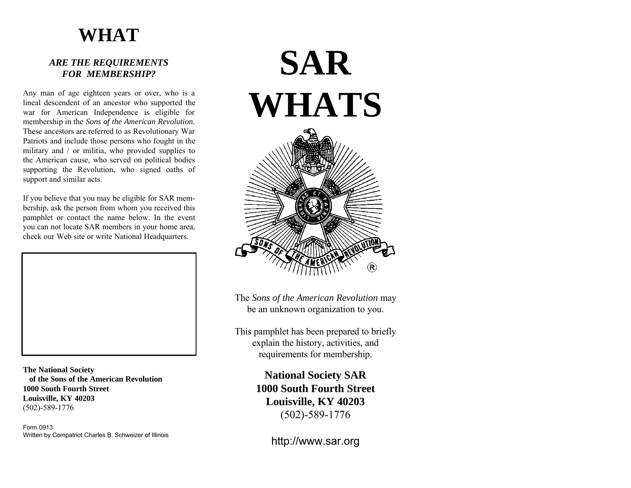# **WHAT**

### *ARE THE REQUIREMENTS FOR MEMBERSHIP?*

Any man of age eighteen years or over, who is a lineal descendent of an ancestor who supported the war for American Independence is eligible for membership in the *Sons of the American Revolution.* These ancestors are referred to as Revolutionary War Patriots and include those persons who fought in the military and / or militia, who provided supplies to the American cause, who served on political bodies supporting the Revolution, who signed oaths of support and similar acts.

If you believe that you may be eligible for SAR membership, ask the person from whom you received this pamphlet or contact the name below. In the event you can not locate SAR members in your home area, check our Web site or write National Headquarters.



**The National Society of the Sons of the American Revolution 1000 South Fourth Street Louisville, KY 40203** (502)-589-1776

Form 0913 Written by Compatriot Charles B. Schweizer of Illinois

# **SAR WHATS**

The *Sons of the American Revolution* may be an unknown organization to you.

This pamphlet has been prepared to briefly explain the history, activities, and requirements for membership.

> **National Society SAR 1000 South Fourth Street Louisville, KY 40203** (502)-589-1776

> > http://www.sar.org